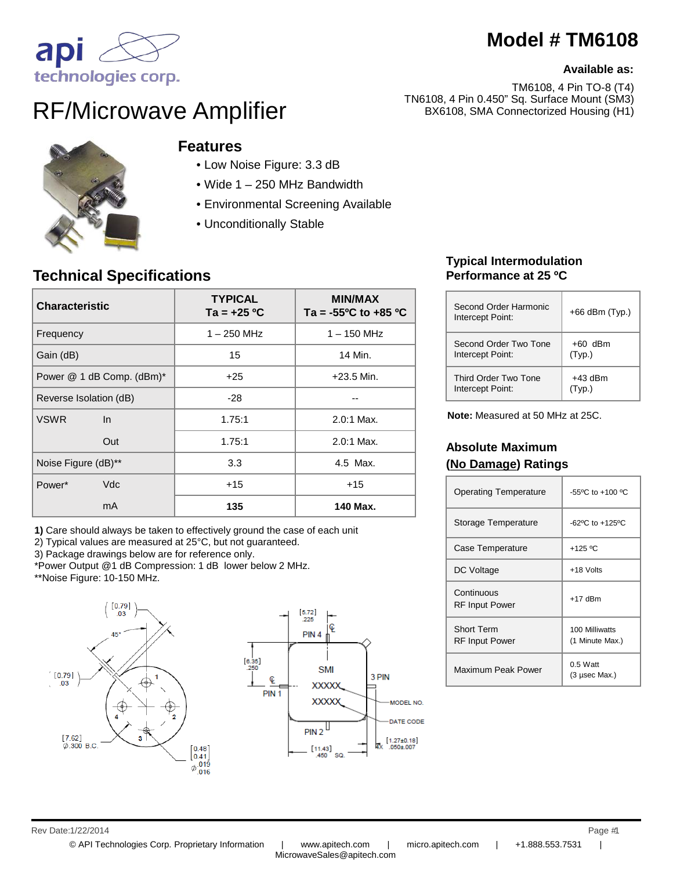# **Model # TM6108**

#### **Available as:**

TM6108, 4 Pin TO-8 (T4) TN6108, 4 Pin 0.450" Sq. Surface Mount (SM3) BX6108, SMA Connectorized Housing (H1)



# RF/Microwave Amplifier



### **Features**

- Low Noise Figure: 3.3 dB
- Wide 1 250 MHz Bandwidth
- Environmental Screening Available
- Unconditionally Stable

### **Technical Specifications**

| <b>Characteristic</b>     |  | <b>TYPICAL</b><br>$Ta = +25 °C$ | <b>MIN/MAX</b><br>Ta = $-55^{\circ}$ C to $+85^{\circ}$ C |
|---------------------------|--|---------------------------------|-----------------------------------------------------------|
| Frequency                 |  | $1 - 250$ MHz                   | $1 - 150$ MHz                                             |
| Gain (dB)                 |  | 15                              | 14 Min.                                                   |
| Power @ 1 dB Comp. (dBm)* |  | $+25$                           | $+23.5$ Min.                                              |
| Reverse Isolation (dB)    |  | $-28$                           |                                                           |
| <b>VSWR</b><br>$\ln$      |  | 1.75:1                          | $2.0:1$ Max.                                              |
| Out                       |  | 1.75:1                          | 2.0:1 Max.                                                |
| Noise Figure (dB)**       |  | 3.3                             | 4.5 Max.                                                  |
| Vdc<br>Power*             |  | $+15$                           | $+15$                                                     |
| mA                        |  | 135                             | 140 Max.                                                  |

**1)** Care should always be taken to effectively ground the case of each unit

- 2) Typical values are measured at 25°C, but not guaranteed.
- 3) Package drawings below are for reference only.
- \*Power Output @1 dB Compression: 1 dB lower below 2 MHz.
- \*\*Noise Figure: 10-150 MHz.





#### **Typical Intermodulation Performance at 25 ºC**

| Second Order Harmonic<br>Intercept Point: | $+66$ dBm (Typ.) |
|-------------------------------------------|------------------|
| Second Order Two Tone                     | $+60$ dBm        |
| Intercept Point:                          | (Typ.)           |
| Third Order Two Tone                      | $+43$ dBm        |
| Intercept Point:                          | (Tvp.)           |

**Note:** Measured at 50 MHz at 25C.

#### **Absolute Maximum (No Damage) Ratings**

| <b>Operating Temperature</b>               | $-55^{\circ}$ C to $+100^{\circ}$ C           |
|--------------------------------------------|-----------------------------------------------|
| Storage Temperature                        | $-62$ <sup>o</sup> C to $+125$ <sup>o</sup> C |
| Case Temperature                           | +125 °C                                       |
| DC Voltage                                 | +18 Volts                                     |
| Continuous<br><b>RF Input Power</b>        | $+17$ dBm                                     |
| <b>Short Term</b><br><b>RF</b> Input Power | 100 Milliwatts<br>(1 Minute Max.)             |
| Maximum Peak Power                         | $0.5$ Watt<br>$(3 \,\mu$ sec Max.)            |

Rev Date: 1/22/2014 Page #1 1/22/2014 1

© API Technologies Corp. Proprietary Information | www.apitech.com | micro.apitech.com | +1.888.553.7531 |

MicrowaveSales@apitech.com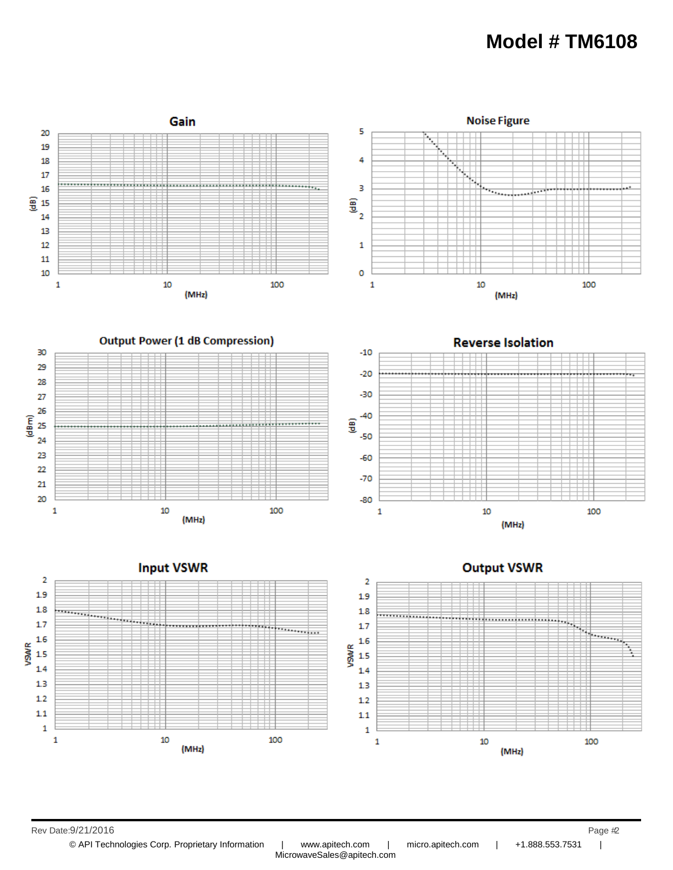## **Model # TM6108**



© API Technologies Corp. Proprietary Information | www.apitech.com | micro.apitech.com | +1.888.553.7531 | MicrowaveSales@apitech.com